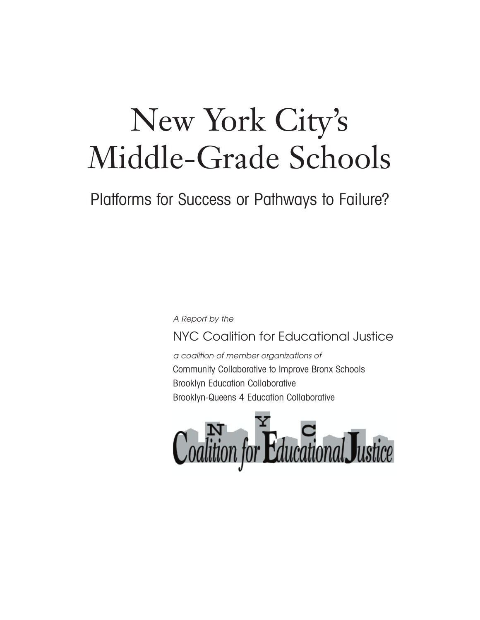# New York City's Middle-Grade Schools

Platforms for Success or Pathways to Failure?

A Report by the

## NYC Coalition for Educational Justice

a coalition of member organizations of Community Collaborative to Improve Bronx Schools Brooklyn Education Collaborative Brooklyn-Queens 4 Education Collaborative

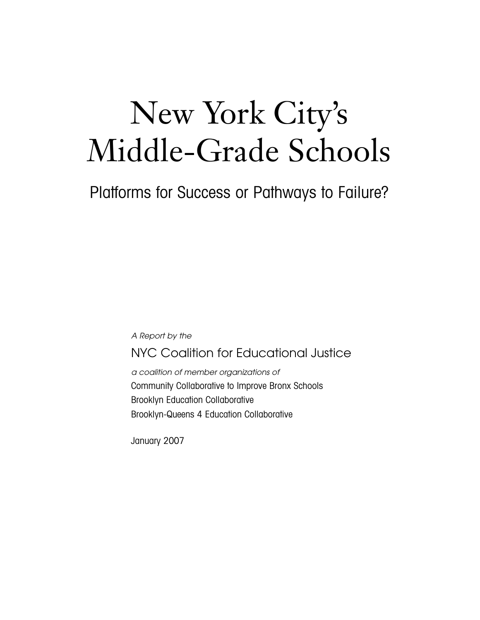# New York City's Middle-Grade Schools

Platforms for Success or Pathways to Failure?

*A Report by the*

NYC Coalition for Educational Justice

*a coalition of member organizations of* Community Collaborative to Improve Bronx Schools Brooklyn Education Collaborative Brooklyn-Queens 4 Education Collaborative

January 2007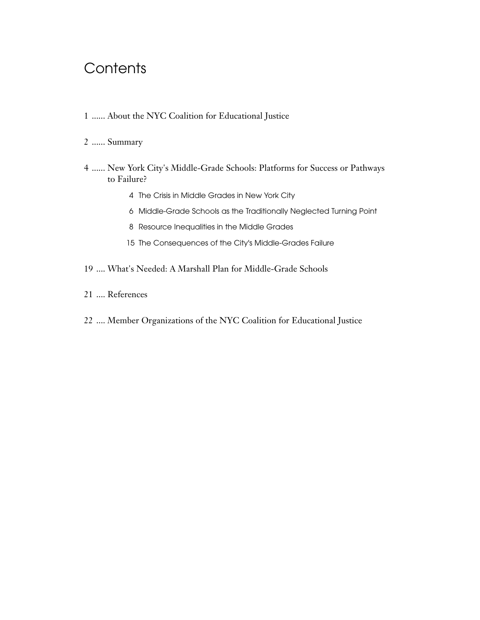# **Contents**

- ...... About the NYC Coalition for Educational Justice
- ...... Summary
- ...... New York City's Middle-Grade Schools: Platforms for Success or Pathways to Failure?
	- The Crisis in Middle Grades in New York City
	- Middle-Grade Schools as the Traditionally Neglected Turning Point
	- Resource Inequalities in the Middle Grades
	- The Consequences of the City's Middle-Grades Failure
- .... What's Needed: A Marshall Plan for Middle-Grade Schools
- .... References
- .... Member Organizations of the NYC Coalition for Educational Justice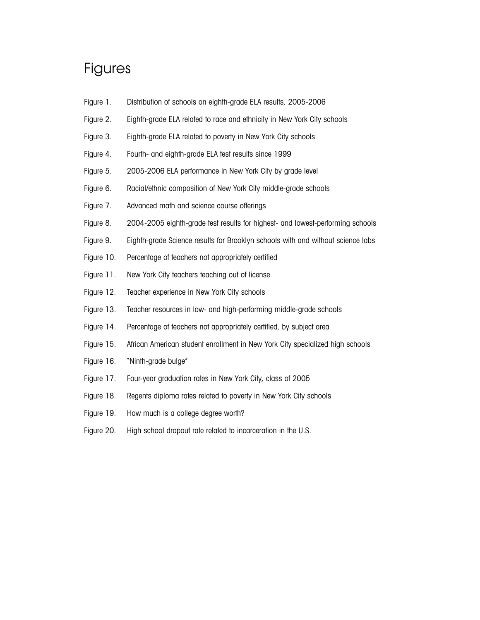## Figures

- Figure 1. Distribution of schools on eighth-grade ELA results, 2005-2006
- Figure 2. Eighth-grade ELA related to race and ethnicity in New York City schools
- Figure 3. Eighth-grade ELA related to poverty in New York City schools
- Figure 4. Fourth- and eighth-grade ELA test results since 1999
- Figure 5. 2005-2006 ELA performance in New York City by grade level
- Figure 6. Racial/ethnic composition of New York City middle-grade schools
- Figure 7. Advanced math and science course offerings
- Figure 8. 2004-2005 eighth-grade test results for highest- and lowest-performing schools
- Figure 9. Eighth-grade Science results for Brooklyn schools with and without science labs
- Figure 10. Percentage of teachers not appropriately certified
- Figure 11. New York City teachers teaching out of license
- Figure 12. Teacher experience in New York City schools
- Figure 13. Teacher resources in low- and high-performing middle-grade schools
- Figure 14. Percentage of teachers not appropriately certified, by subject area
- Figure 15. African American student enrollment in New York City specialized high schools
- Figure 16. "Ninth-grade bulge"
- Figure 17. Four-year graduation rates in New York City, class of 2005
- Figure 18. Regents diploma rates related to poverty in New York City schools
- Figure 19. How much is a college degree worth?
- Figure 20. High school dropout rate related to incarceration in the U.S.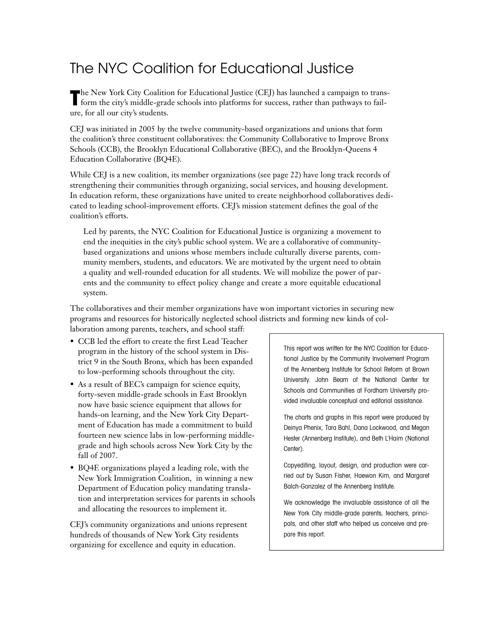# The NYC Coalition for Educational Justice

The New York City Coalition for Educational Justice (CEJ) has launched a campaign to trans-<br>form the city's middle-grade schools into platforms for success, rather than pathways to failure, for all our city's students.

CEJ was initiated in 2005 by the twelve community-based organizations and unions that form the coalition's three constituent collaboratives: the Community Collaborative to Improve Bronx Schools (CCB), the Brooklyn Educational Collaborative (BEC), and the Brooklyn-Queens 4 Education Collaborative (BQ4E).

While CEJ is a new coalition, its member organizations (see page 22) have long track records of strengthening their communities through organizing, social services, and housing development. In education reform, these organizations have united to create neighborhood collaboratives dedicated to leading school-improvement efforts. CEJ's mission statement defines the goal of the coalition's efforts.

Led by parents, the NYC Coalition for Educational Justice is organizing a movement to end the inequities in the city's public school system. We are a collaborative of communitybased organizations and unions whose members include culturally diverse parents, community members, students, and educators. We are motivated by the urgent need to obtain a quality and well-rounded education for all students. We will mobilize the power of parents and the community to effect policy change and create a more equitable educational system.

The collaboratives and their member organizations have won important victories in securing new programs and resources for historically neglected school districts and forming new kinds of collaboration among parents, teachers, and school staff:

- CCB led the effort to create the first Lead Teacher program in the history of the school system in District 9 in the South Bronx, which has been expanded to low-performing schools throughout the city.
- As a result of BEC's campaign for science equity, forty-seven middle-grade schools in East Brooklyn now have basic science equipment that allows for hands-on learning, and the New York City Department of Education has made a commitment to build fourteen new science labs in low-performing middlegrade and high schools across New York City by the fall of 2007.
- BQ4E organizations played a leading role, with the New York Immigration Coalition, in winning a new Department of Education policy mandating translation and interpretation services for parents in schools and allocating the resources to implement it.

CEJ's community organizations and unions represent hundreds of thousands of New York City residents organizing for excellence and equity in education.

This report was written for the NYC Coalition for Educational Justice by the Community Involvement Program of the Annenberg Institute for School Reform at Brown University. John Beam of the National Center for Schools and Communities at Fordham University provided invaluable conceptual and editorial assistance.

The charts and graphs in this report were produced by Deinya Phenix, Tara Bahl, Dana Lockwood, and Megan Hester (Annenberg Institute), and Beth L'Haim (National Center).

Copyediting, layout, design, and production were carried out by Susan Fisher, Haewon Kim, and Margaret Balch-Gonzalez of the Annenberg Institute.

We acknowledge the invaluable assistance of all the New York City middle-grade parents, teachers, principals, and other staff who helped us conceive and prepare this report.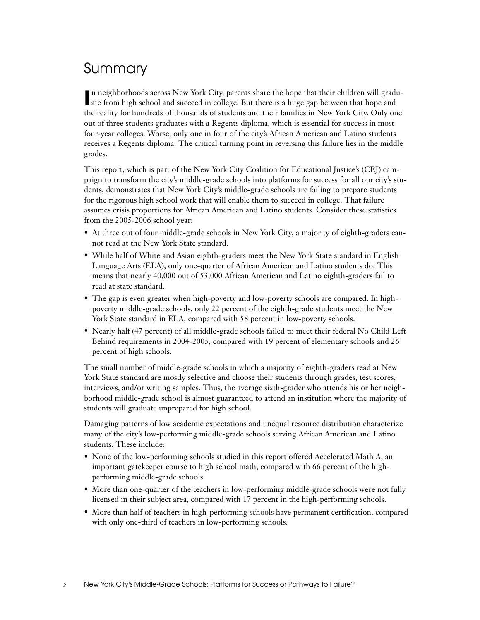# Summary

In neighborhoods across New York City, parents share the hope that their children will grad ate from high school and succeed in college. But there is a huge gap between that hope and n neighborhoods across New York City, parents share the hope that their children will graduthe reality for hundreds of thousands of students and their families in New York City. Only one out of three students graduates with a Regents diploma, which is essential for success in most four-year colleges. Worse, only one in four of the city's African American and Latino students receives a Regents diploma. The critical turning point in reversing this failure lies in the middle grades.

This report, which is part of the New York City Coalition for Educational Justice's (CEJ) campaign to transform the city's middle-grade schools into platforms for success for all our city's students, demonstrates that New York City's middle-grade schools are failing to prepare students for the rigorous high school work that will enable them to succeed in college. That failure assumes crisis proportions for African American and Latino students. Consider these statistics from the 2005-2006 school year:

- At three out of four middle-grade schools in New York City, a majority of eighth-graders cannot read at the New York State standard.
- While half of White and Asian eighth-graders meet the New York State standard in English Language Arts (ELA), only one-quarter of African American and Latino students do. This means that nearly 40,000 out of 53,000 African American and Latino eighth-graders fail to read at state standard.
- The gap is even greater when high-poverty and low-poverty schools are compared. In highpoverty middle-grade schools, only 22 percent of the eighth-grade students meet the New York State standard in ELA, compared with 58 percent in low-poverty schools.
- Nearly half (47 percent) of all middle-grade schools failed to meet their federal No Child Left Behind requirements in 2004-2005, compared with 19 percent of elementary schools and 26 percent of high schools.

The small number of middle-grade schools in which a majority of eighth-graders read at New York State standard are mostly selective and choose their students through grades, test scores, interviews, and/or writing samples. Thus, the average sixth-grader who attends his or her neighborhood middle-grade school is almost guaranteed to attend an institution where the majority of students will graduate unprepared for high school.

Damaging patterns of low academic expectations and unequal resource distribution characterize many of the city's low-performing middle-grade schools serving African American and Latino students. These include:

- None of the low-performing schools studied in this report offered Accelerated Math A, an important gatekeeper course to high school math, compared with 66 percent of the highperforming middle-grade schools.
- More than one-quarter of the teachers in low-performing middle-grade schools were not fully licensed in their subject area, compared with 17 percent in the high-performing schools.
- More than half of teachers in high-performing schools have permanent certification, compared with only one-third of teachers in low-performing schools.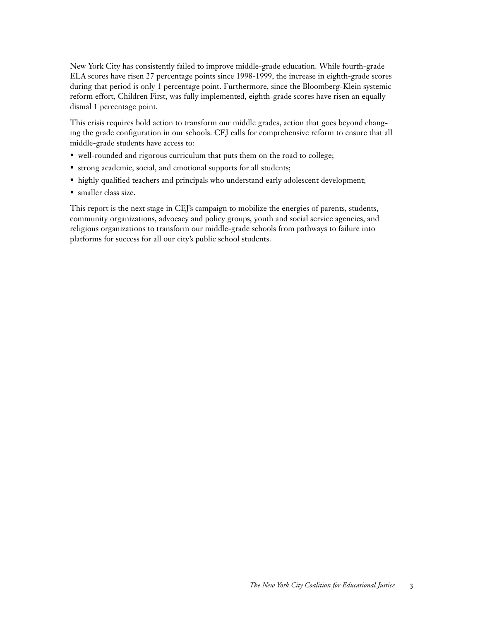New York City has consistently failed to improve middle-grade education. While fourth-grade ELA scores have risen 27 percentage points since 1998-1999, the increase in eighth-grade scores during that period is only 1 percentage point. Furthermore, since the Bloomberg-Klein systemic reform effort, Children First, was fully implemented, eighth-grade scores have risen an equally dismal 1 percentage point.

This crisis requires bold action to transform our middle grades, action that goes beyond changing the grade configuration in our schools. CEJ calls for comprehensive reform to ensure that all middle-grade students have access to:

- well-rounded and rigorous curriculum that puts them on the road to college;
- strong academic, social, and emotional supports for all students;
- highly qualified teachers and principals who understand early adolescent development;
- smaller class size.

This report is the next stage in CEJ's campaign to mobilize the energies of parents, students, community organizations, advocacy and policy groups, youth and social service agencies, and religious organizations to transform our middle-grade schools from pathways to failure into platforms for success for all our city's public school students.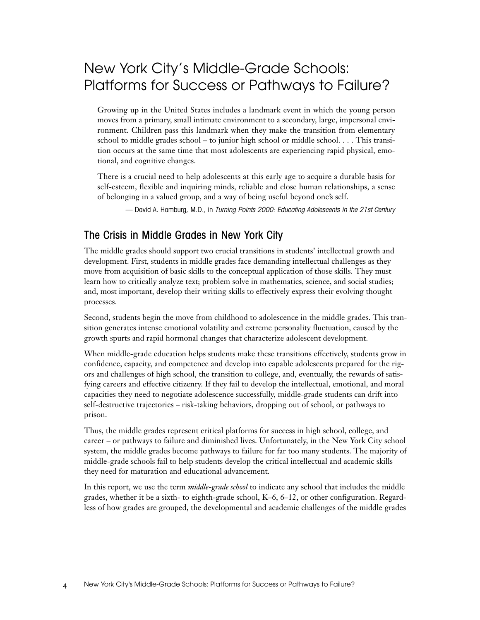## New York City's Middle-Grade Schools: Platforms for Success or Pathways to Failure?

Growing up in the United States includes a landmark event in which the young person moves from a primary, small intimate environment to a secondary, large, impersonal environment. Children pass this landmark when they make the transition from elementary school to middle grades school – to junior high school or middle school. . . . This transition occurs at the same time that most adolescents are experiencing rapid physical, emotional, and cognitive changes.

There is a crucial need to help adolescents at this early age to acquire a durable basis for self-esteem, flexible and inquiring minds, reliable and close human relationships, a sense of belonging in a valued group, and a way of being useful beyond one's self.

— David A. Hamburg, M.D., in Turning Points 2000: Educating Adolescents in the 21st Century

### The Crisis in Middle Grades in New York City

The middle grades should support two crucial transitions in students' intellectual growth and development. First, students in middle grades face demanding intellectual challenges as they move from acquisition of basic skills to the conceptual application of those skills. They must learn how to critically analyze text; problem solve in mathematics, science, and social studies; and, most important, develop their writing skills to effectively express their evolving thought processes.

Second, students begin the move from childhood to adolescence in the middle grades. This transition generates intense emotional volatility and extreme personality fluctuation, caused by the growth spurts and rapid hormonal changes that characterize adolescent development.

When middle-grade education helps students make these transitions effectively, students grow in confidence, capacity, and competence and develop into capable adolescents prepared for the rigors and challenges of high school, the transition to college, and, eventually, the rewards of satisfying careers and effective citizenry. If they fail to develop the intellectual, emotional, and moral capacities they need to negotiate adolescence successfully, middle-grade students can drift into self-destructive trajectories – risk-taking behaviors, dropping out of school, or pathways to prison.

Thus, the middle grades represent critical platforms for success in high school, college, and career – or pathways to failure and diminished lives. Unfortunately, in the New York City school system, the middle grades become pathways to failure for far too many students. The majority of middle-grade schools fail to help students develop the critical intellectual and academic skills they need for maturation and educational advancement.

In this report, we use the term *middle-grade school* to indicate any school that includes the middle grades, whether it be a sixth- to eighth-grade school, K–6, 6–12, or other configuration. Regardless of how grades are grouped, the developmental and academic challenges of the middle grades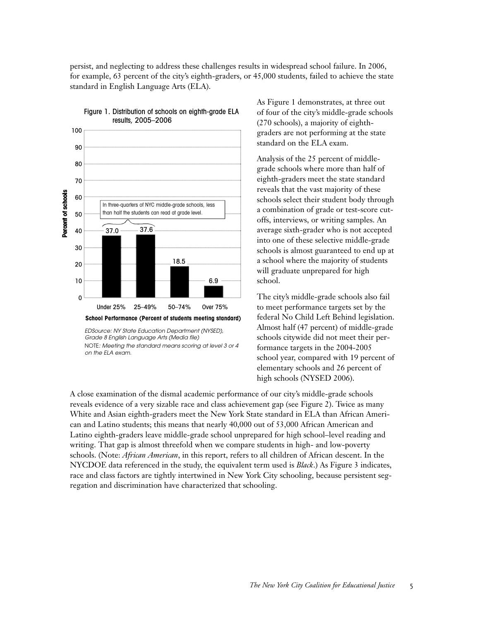persist, and neglecting to address these challenges results in widespread school failure. In 2006, for example, 63 percent of the city's eighth-graders, or 45,000 students, failed to achieve the state standard in English Language Arts (ELA).



#### Figure 1. Distribution of schools on eighth-grade ELA results, 2005–2006

*EDSource: NY State Education Department (NYSED), Grade 8 English Language Arts (Media file)*  NOTE*: Meeting the standard means scoring at level 3 or 4 on the ELA exam.*

As Figure 1 demonstrates, at three out of four of the city's middle-grade schools (270 schools), a majority of eighthgraders are not performing at the state standard on the ELA exam.

Analysis of the 25 percent of middlegrade schools where more than half of eighth-graders meet the state standard reveals that the vast majority of these schools select their student body through a combination of grade or test-score cutoffs, interviews, or writing samples. An average sixth-grader who is not accepted into one of these selective middle-grade schools is almost guaranteed to end up at a school where the majority of students will graduate unprepared for high school.

The city's middle-grade schools also fail to meet performance targets set by the federal No Child Left Behind legislation. Almost half (47 percent) of middle-grade schools citywide did not meet their performance targets in the 2004-2005 school year, compared with 19 percent of elementary schools and 26 percent of high schools (NYSED 2006).

A close examination of the dismal academic performance of our city's middle-grade schools reveals evidence of a very sizable race and class achievement gap (see Figure 2). Twice as many White and Asian eighth-graders meet the New York State standard in ELA than African American and Latino students; this means that nearly 40,000 out of 53,000 African American and Latino eighth-graders leave middle-grade school unprepared for high school–level reading and writing. That gap is almost threefold when we compare students in high- and low-poverty schools. (Note: *African American*, in this report, refers to all children of African descent. In the NYCDOE data referenced in the study, the equivalent term used is *Black*.) As Figure 3 indicates, race and class factors are tightly intertwined in New York City schooling, because persistent segregation and discrimination have characterized that schooling.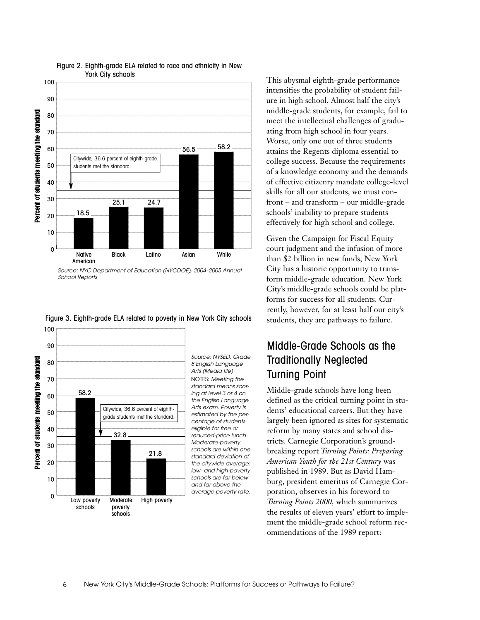

Figure 2. Eighth-grade ELA related to race and ethnicity in New York City schools



Figure 3. Eighth-grade ELA related to poverty in New York City schools

*Source: NYSED, Grade 8 English Language Arts (Media file)*  NOTES: *Meeting the standard means scoring at level 3 or 4 on the English Language Arts exam. Poverty is estimated by the percentage of students eligible for free or reduced-price lunch. Moderate-poverty schools are within one standard deviation of the citywide average; low- and high-poverty schools are far below and far above the average poverty rate.*

This abysmal eighth-grade performance intensifies the probability of student failure in high school. Almost half the city's middle-grade students, for example, fail to meet the intellectual challenges of graduating from high school in four years. Worse, only one out of three students attains the Regents diploma essential to college success. Because the requirements of a knowledge economy and the demands of effective citizenry mandate college-level skills for all our students, we must confront – and transform – our middle-grade schools' inability to prepare students effectively for high school and college.

Given the Campaign for Fiscal Equity court judgment and the infusion of more than \$2 billion in new funds, New York City has a historic opportunity to transform middle-grade education. New York City's middle-grade schools could be platforms for success for all students. Currently, however, for at least half our city's students, they are pathways to failure.

## Middle-Grade Schools as the Traditionally Neglected Turning Point

Middle-grade schools have long been defined as the critical turning point in students' educational careers. But they have largely been ignored as sites for systematic reform by many states and school districts. Carnegie Corporation's groundbreaking report *Turning Points: Preparing American Youth for the 21st Century* was published in 1989. But as David Hamburg, president emeritus of Carnegie Corporation, observes in his foreword to *Turning Points 2000,* which summarizes the results of eleven years' effort to implement the middle-grade school reform recommendations of the 1989 report:

*Source: NYC Department of Education (NYCDOE), 2004–2005 Annual School Reports*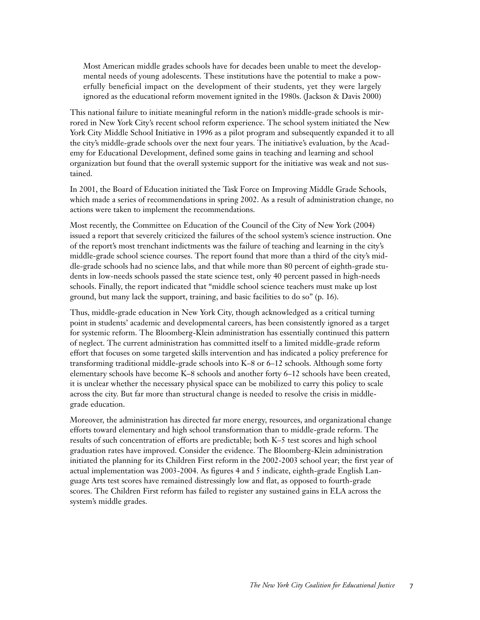Most American middle grades schools have for decades been unable to meet the developmental needs of young adolescents. These institutions have the potential to make a powerfully beneficial impact on the development of their students, yet they were largely ignored as the educational reform movement ignited in the 1980s. (Jackson & Davis 2000)

This national failure to initiate meaningful reform in the nation's middle-grade schools is mirrored in New York City's recent school reform experience. The school system initiated the New York City Middle School Initiative in 1996 as a pilot program and subsequently expanded it to all the city's middle-grade schools over the next four years. The initiative's evaluation, by the Academy for Educational Development, defined some gains in teaching and learning and school organization but found that the overall systemic support for the initiative was weak and not sustained.

In 2001, the Board of Education initiated the Task Force on Improving Middle Grade Schools, which made a series of recommendations in spring 2002. As a result of administration change, no actions were taken to implement the recommendations.

Most recently, the Committee on Education of the Council of the City of New York (2004) issued a report that severely criticized the failures of the school system's science instruction. One of the report's most trenchant indictments was the failure of teaching and learning in the city's middle-grade school science courses. The report found that more than a third of the city's middle-grade schools had no science labs, and that while more than 80 percent of eighth-grade students in low-needs schools passed the state science test, only 40 percent passed in high-needs schools. Finally, the report indicated that "middle school science teachers must make up lost ground, but many lack the support, training, and basic facilities to do so" (p. 16).

Thus, middle-grade education in New York City, though acknowledged as a critical turning point in students' academic and developmental careers, has been consistently ignored as a target for systemic reform. The Bloomberg-Klein administration has essentially continued this pattern of neglect. The current administration has committed itself to a limited middle-grade reform effort that focuses on some targeted skills intervention and has indicated a policy preference for transforming traditional middle-grade schools into K–8 or 6–12 schools. Although some forty elementary schools have become K–8 schools and another forty 6–12 schools have been created, it is unclear whether the necessary physical space can be mobilized to carry this policy to scale across the city. But far more than structural change is needed to resolve the crisis in middlegrade education.

Moreover, the administration has directed far more energy, resources, and organizational change efforts toward elementary and high school transformation than to middle-grade reform. The results of such concentration of efforts are predictable; both K–5 test scores and high school graduation rates have improved. Consider the evidence. The Bloomberg-Klein administration initiated the planning for its Children First reform in the 2002-2003 school year; the first year of actual implementation was 2003-2004. As figures 4 and 5 indicate, eighth-grade English Language Arts test scores have remained distressingly low and flat, as opposed to fourth-grade scores. The Children First reform has failed to register any sustained gains in ELA across the system's middle grades.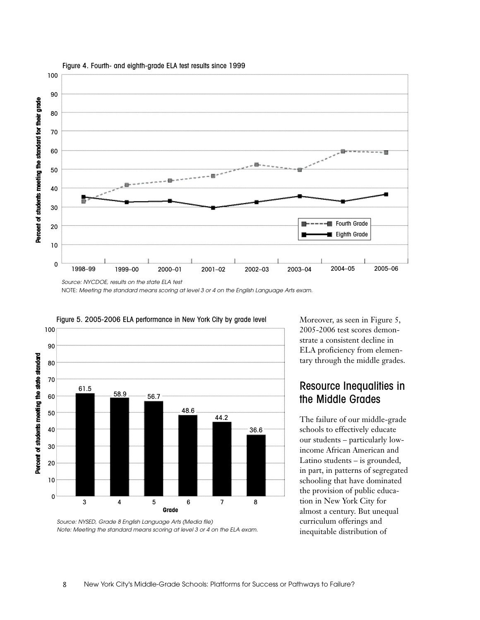

Figure 4. Fourth- and eighth-grade ELA test results since 1999

NOTE: *Meeting the standard means scoring at level 3 or 4 on the English Language Arts exam.*



Figure 5. 2005-2006 ELA performance in New York City by grade level

Moreover, as seen in Figure 5, 2005-2006 test scores demonstrate a consistent decline in ELA proficiency from elementary through the middle grades.

## Resource Inequalities in the Middle Grades

The failure of our middle-grade schools to effectively educate our students – particularly lowincome African American and Latino students – is grounded, in part, in patterns of segregated schooling that have dominated the provision of public education in New York City for almost a century. But unequal curriculum offerings and inequitable distribution of

*Source: NYSED, Grade 8 English Language Arts (Media file) Note: Meeting the standard means scoring at level 3 or 4 on the ELA exam.*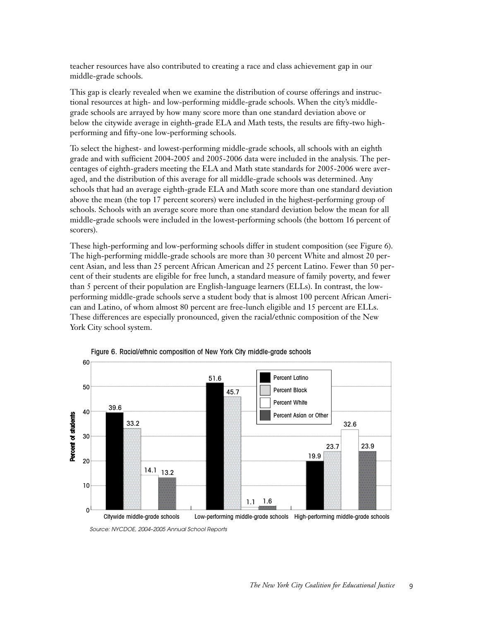teacher resources have also contributed to creating a race and class achievement gap in our middle-grade schools.

This gap is clearly revealed when we examine the distribution of course offerings and instructional resources at high- and low-performing middle-grade schools. When the city's middlegrade schools are arrayed by how many score more than one standard deviation above or below the citywide average in eighth-grade ELA and Math tests, the results are fifty-two highperforming and fifty-one low-performing schools.

To select the highest- and lowest-performing middle-grade schools, all schools with an eighth grade and with sufficient 2004-2005 and 2005-2006 data were included in the analysis. The percentages of eighth-graders meeting the ELA and Math state standards for 2005-2006 were averaged, and the distribution of this average for all middle-grade schools was determined. Any schools that had an average eighth-grade ELA and Math score more than one standard deviation above the mean (the top 17 percent scorers) were included in the highest-performing group of schools. Schools with an average score more than one standard deviation below the mean for all middle-grade schools were included in the lowest-performing schools (the bottom 16 percent of scorers).

These high-performing and low-performing schools differ in student composition (see Figure 6). The high-performing middle-grade schools are more than 30 percent White and almost 20 percent Asian, and less than 25 percent African American and 25 percent Latino. Fewer than 50 percent of their students are eligible for free lunch, a standard measure of family poverty, and fewer than 5 percent of their population are English-language learners (ELLs). In contrast, the lowperforming middle-grade schools serve a student body that is almost 100 percent African American and Latino, of whom almost 80 percent are free-lunch eligible and 15 percent are ELLs. These differences are especially pronounced, given the racial/ethnic composition of the New York City school system.





*Source: NYCDOE, 2004–2005 Annual School Reports*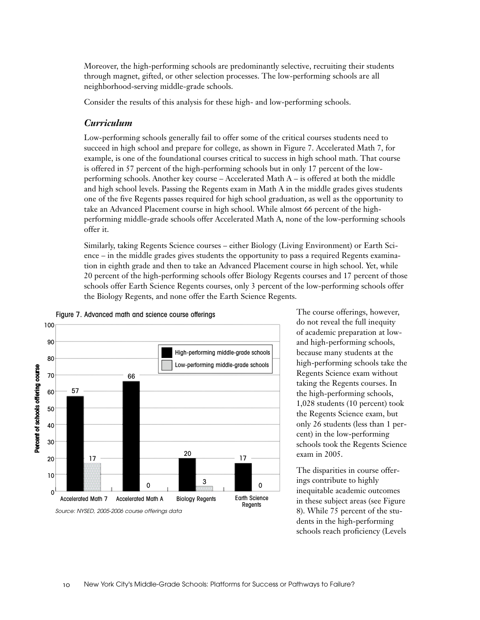Moreover, the high-performing schools are predominantly selective, recruiting their students through magnet, gifted, or other selection processes. The low-performing schools are all neighborhood-serving middle-grade schools.

Consider the results of this analysis for these high- and low-performing schools.

#### *Curriculum*

Low-performing schools generally fail to offer some of the critical courses students need to succeed in high school and prepare for college, as shown in Figure 7. Accelerated Math 7, for example, is one of the foundational courses critical to success in high school math. That course is offered in 57 percent of the high-performing schools but in only 17 percent of the lowperforming schools. Another key course – Accelerated Math A – is offered at both the middle and high school levels. Passing the Regents exam in Math A in the middle grades gives students one of the five Regents passes required for high school graduation, as well as the opportunity to take an Advanced Placement course in high school. While almost 66 percent of the highperforming middle-grade schools offer Accelerated Math A, none of the low-performing schools offer it.

Similarly, taking Regents Science courses – either Biology (Living Environment) or Earth Science – in the middle grades gives students the opportunity to pass a required Regents examination in eighth grade and then to take an Advanced Placement course in high school. Yet, while 20 percent of the high-performing schools offer Biology Regents courses and 17 percent of those schools offer Earth Science Regents courses, only 3 percent of the low-performing schools offer the Biology Regents, and none offer the Earth Science Regents.



#### Figure 7. Advanced math and science course offerings

The course offerings, however, do not reveal the full inequity of academic preparation at lowand high-performing schools, because many students at the high-performing schools take the Regents Science exam without taking the Regents courses. In the high-performing schools, 1,028 students (10 percent) took the Regents Science exam, but only 26 students (less than 1 percent) in the low-performing schools took the Regents Science exam in 2005.

The disparities in course offerings contribute to highly inequitable academic outcomes in these subject areas (see Figure 8). While 75 percent of the students in the high-performing schools reach proficiency (Levels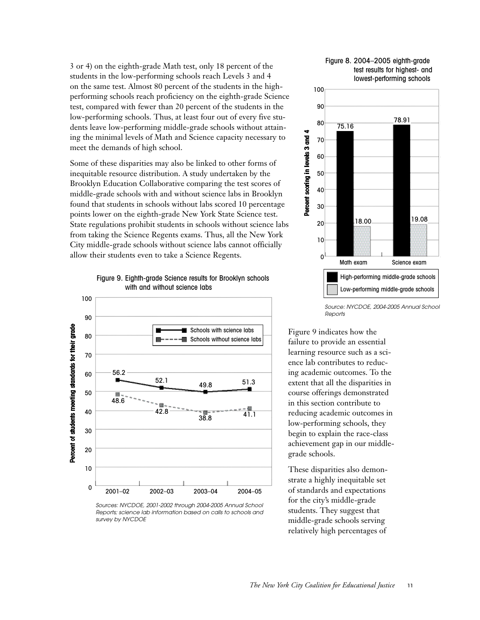3 or 4) on the eighth-grade Math test, only 18 percent of the students in the low-performing schools reach Levels 3 and 4 on the same test. Almost 80 percent of the students in the highperforming schools reach proficiency on the eighth-grade Science test, compared with fewer than 20 percent of the students in the low-performing schools. Thus, at least four out of every five students leave low-performing middle-grade schools without attaining the minimal levels of Math and Science capacity necessary to meet the demands of high school.

Some of these disparities may also be linked to other forms of inequitable resource distribution. A study undertaken by the Brooklyn Education Collaborative comparing the test scores of middle-grade schools with and without science labs in Brooklyn found that students in schools without labs scored 10 percentage points lower on the eighth-grade New York State Science test. State regulations prohibit students in schools without science labs from taking the Science Regents exams. Thus, all the New York City middle-grade schools without science labs cannot officially allow their students even to take a Science Regents.

Figure 9. Eighth-grade Science results for Brooklyn schools with and without science labs



*Sources: NYCDOE, 2001-2002 through 2004-2005 Annual School Reports; science lab information based on calls to schools and survey by NYCDOE*

#### Figure 8. 2004–2005 eighth-grade test results for highest- and lowest-performing schools



*Source: NYCDOE, 2004-2005 Annual School Reports*

Figure 9 indicates how the failure to provide an essential learning resource such as a science lab contributes to reducing academic outcomes. To the extent that all the disparities in course offerings demonstrated in this section contribute to reducing academic outcomes in low-performing schools, they begin to explain the race-class achievement gap in our middlegrade schools.

These disparities also demonstrate a highly inequitable set of standards and expectations for the city's middle-grade students. They suggest that middle-grade schools serving relatively high percentages of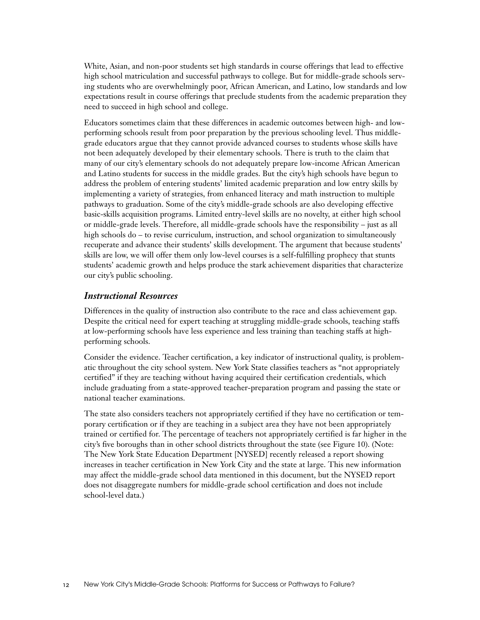White, Asian, and non-poor students set high standards in course offerings that lead to effective high school matriculation and successful pathways to college. But for middle-grade schools serving students who are overwhelmingly poor, African American, and Latino, low standards and low expectations result in course offerings that preclude students from the academic preparation they need to succeed in high school and college.

Educators sometimes claim that these differences in academic outcomes between high- and lowperforming schools result from poor preparation by the previous schooling level. Thus middlegrade educators argue that they cannot provide advanced courses to students whose skills have not been adequately developed by their elementary schools. There is truth to the claim that many of our city's elementary schools do not adequately prepare low-income African American and Latino students for success in the middle grades. But the city's high schools have begun to address the problem of entering students' limited academic preparation and low entry skills by implementing a variety of strategies, from enhanced literacy and math instruction to multiple pathways to graduation. Some of the city's middle-grade schools are also developing effective basic-skills acquisition programs. Limited entry-level skills are no novelty, at either high school or middle-grade levels. Therefore, all middle-grade schools have the responsibility – just as all high schools do – to revise curriculum, instruction, and school organization to simultaneously recuperate and advance their students' skills development. The argument that because students' skills are low, we will offer them only low-level courses is a self-fulfilling prophecy that stunts students' academic growth and helps produce the stark achievement disparities that characterize our city's public schooling.

#### *Instructional Resources*

Differences in the quality of instruction also contribute to the race and class achievement gap. Despite the critical need for expert teaching at struggling middle-grade schools, teaching staffs at low-performing schools have less experience and less training than teaching staffs at highperforming schools.

Consider the evidence. Teacher certification, a key indicator of instructional quality, is problematic throughout the city school system. New York State classifies teachers as "not appropriately certified" if they are teaching without having acquired their certification credentials, which include graduating from a state-approved teacher-preparation program and passing the state or national teacher examinations.

The state also considers teachers not appropriately certified if they have no certification or temporary certification or if they are teaching in a subject area they have not been appropriately trained or certified for. The percentage of teachers not appropriately certified is far higher in the city's five boroughs than in other school districts throughout the state (see Figure 10). (Note: The New York State Education Department [NYSED] recently released a report showing increases in teacher certification in New York City and the state at large. This new information may affect the middle-grade school data mentioned in this document, but the NYSED report does not disaggregate numbers for middle-grade school certification and does not include school-level data.)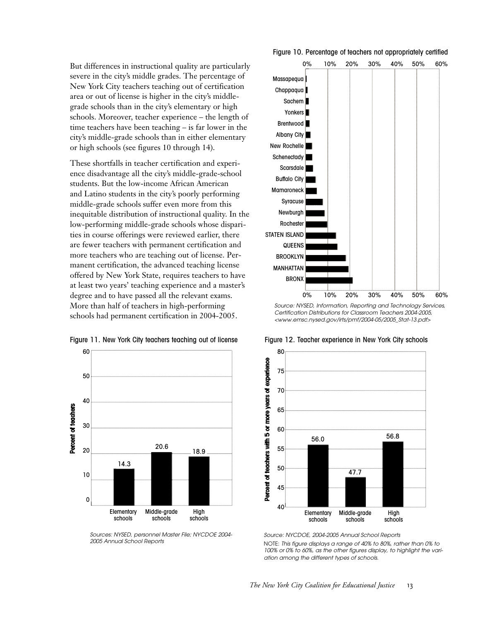But differences in instructional quality are particularly severe in the city's middle grades. The percentage of New York City teachers teaching out of certification area or out of license is higher in the city's middlegrade schools than in the city's elementary or high schools. Moreover, teacher experience – the length of time teachers have been teaching – is far lower in the city's middle-grade schools than in either elementary or high schools (see figures 10 through 14).

These shortfalls in teacher certification and experience disadvantage all the city's middle-grade-school students. But the low-income African American and Latino students in the city's poorly performing middle-grade schools suffer even more from this inequitable distribution of instructional quality. In the low-performing middle-grade schools whose disparities in course offerings were reviewed earlier, there are fewer teachers with permanent certification and more teachers who are teaching out of license. Permanent certification, the advanced teaching license offered by New York State, requires teachers to have at least two years' teaching experience and a master's degree and to have passed all the relevant exams. More than half of teachers in high-performing schools had permanent certification in 2004-2005.



Figure 11. New York City teachers teaching out of license

*Sources: NYSED, personnel Master File; NYCDOE 2004- 2005 Annual School Reports*

Figure 10. Percentage of teachers not appropriately certified



*Source: NYSED, Information, Reporting and Technology Services, Certification Distributions for Classroom Teachers 2004-2005, <www.emsc.nysed.gov/irts/pmf/2004-05/2005\_Stat-13.pdf>*



#### Figure 12. Teacher experience in New York City schools

*Source: NYCDOE, 2004-2005 Annual School Reports* NOTE: *This figure displays a range of 40% to 80%, rather than 0% to 100% or 0% to 60%, as the other figures display, to highlight the variation among the different types of schools.*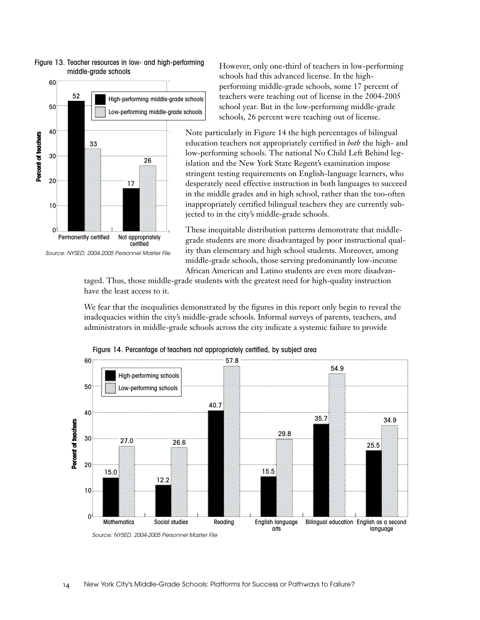

#### Figure 13. Teacher resources in low- and high-performing middle-grade schools

*Source: NYSED, 2004-2005 Personnel Master File* 

However, only one-third of teachers in low-performing schools had this advanced license. In the highperforming middle-grade schools, some 17 percent of teachers were teaching out of license in the 2004-2005 school year. But in the low-performing middle-grade schools, 26 percent were teaching out of license.

Note particularly in Figure 14 the high percentages of bilingual education teachers not appropriately certified in *both* the high- and low-performing schools. The national No Child Left Behind legislation and the New York State Regent's examination impose stringent testing requirements on English-language learners, who desperately need effective instruction in both languages to succeed in the middle grades and in high school, rather than the too-often inappropriately certified bilingual teachers they are currently subjected to in the city's middle-grade schools.

These inequitable distribution patterns demonstrate that middlegrade students are more disadvantaged by poor instructional quality than elementary and high school students. Moreover, among middle-grade schools, those serving predominantly low-income African American and Latino students are even more disadvan-

taged. Thus, those middle-grade students with the greatest need for high-quality instruction have the least access to it.

We fear that the inequalities demonstrated by the figures in this report only begin to reveal the inadequacies within the city's middle-grade schools. Informal surveys of parents, teachers, and administrators in middle-grade schools across the city indicate a systemic failure to provide



Figure 14. Percentage of teachers not appropriately certified, by subject area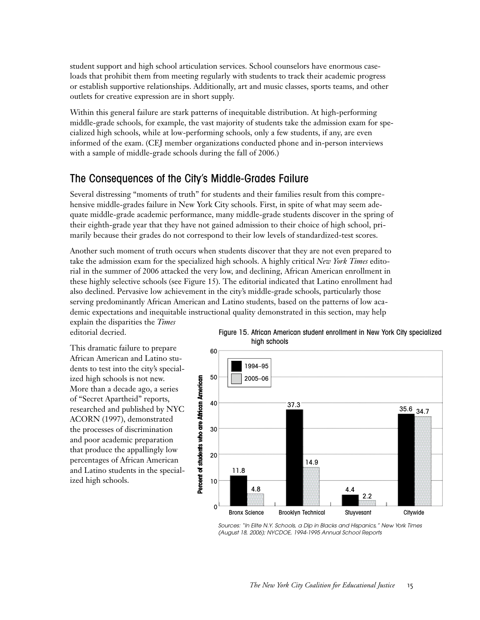student support and high school articulation services. School counselors have enormous caseloads that prohibit them from meeting regularly with students to track their academic progress or establish supportive relationships. Additionally, art and music classes, sports teams, and other outlets for creative expression are in short supply.

Within this general failure are stark patterns of inequitable distribution. At high-performing middle-grade schools, for example, the vast majority of students take the admission exam for specialized high schools, while at low-performing schools, only a few students, if any, are even informed of the exam. (CEJ member organizations conducted phone and in-person interviews with a sample of middle-grade schools during the fall of 2006.)

### The Consequences of the City's Middle-Grades Failure

Several distressing "moments of truth" for students and their families result from this comprehensive middle-grades failure in New York City schools. First, in spite of what may seem adequate middle-grade academic performance, many middle-grade students discover in the spring of their eighth-grade year that they have not gained admission to their choice of high school, primarily because their grades do not correspond to their low levels of standardized-test scores.

Another such moment of truth occurs when students discover that they are not even prepared to take the admission exam for the specialized high schools. A highly critical *New York Times* editorial in the summer of 2006 attacked the very low, and declining, African American enrollment in these highly selective schools (see Figure 15). The editorial indicated that Latino enrollment had also declined. Pervasive low achievement in the city's middle-grade schools, particularly those serving predominantly African American and Latino students, based on the patterns of low academic expectations and inequitable instructional quality demonstrated in this section, may help explain the disparities the *Times*

editorial decried.

This dramatic failure to prepare African American and Latino students to test into the city's specialized high schools is not new. More than a decade ago, a series of "Secret Apartheid" reports, researched and published by NYC ACORN (1997), demonstrated the processes of discrimination and poor academic preparation that produce the appallingly low percentages of African American and Latino students in the specialized high schools.

Figure 15. African American student enrollment in New York City specialized high schools



*Sources: "In Elite N.Y. Schools, a Dip in Blacks and Hispanics," New York Times (August 18, 2006); NYCDOE, 1994-1995 Annual School Reports*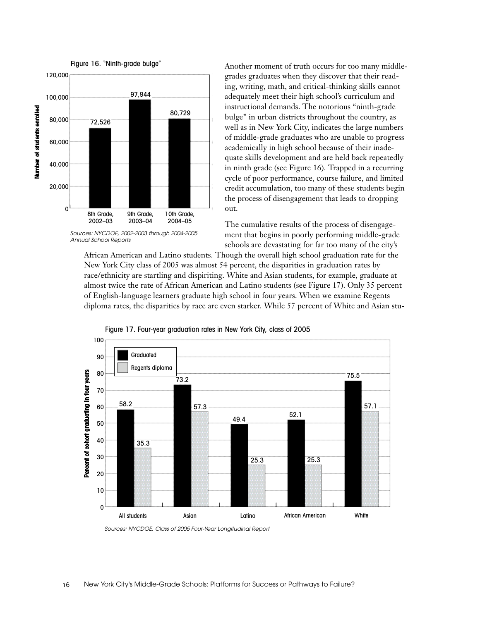

*Sources: NYCDOE, 2002-2003 through 2004-2005 Annual School Reports* 

Another moment of truth occurs for too many middlegrades graduates when they discover that their reading, writing, math, and critical-thinking skills cannot adequately meet their high school's curriculum and instructional demands. The notorious "ninth-grade bulge" in urban districts throughout the country, as well as in New York City, indicates the large numbers of middle-grade graduates who are unable to progress academically in high school because of their inadequate skills development and are held back repeatedly in ninth grade (see Figure 16). Trapped in a recurring cycle of poor performance, course failure, and limited credit accumulation, too many of these students begin the process of disengagement that leads to dropping out.

The cumulative results of the process of disengagement that begins in poorly performing middle-grade schools are devastating for far too many of the city's

African American and Latino students. Though the overall high school graduation rate for the New York City class of 2005 was almost 54 percent, the disparities in graduation rates by race/ethnicity are startling and dispiriting. White and Asian students, for example, graduate at almost twice the rate of African American and Latino students (see Figure 17). Only 35 percent of English-language learners graduate high school in four years. When we examine Regents diploma rates, the disparities by race are even starker. While 57 percent of White and Asian stu-



Figure 17. Four-year graduation rates in New York City, class of 2005

*Sources: NYCDOE, Class of 2005 Four-Year Longitudinal Report*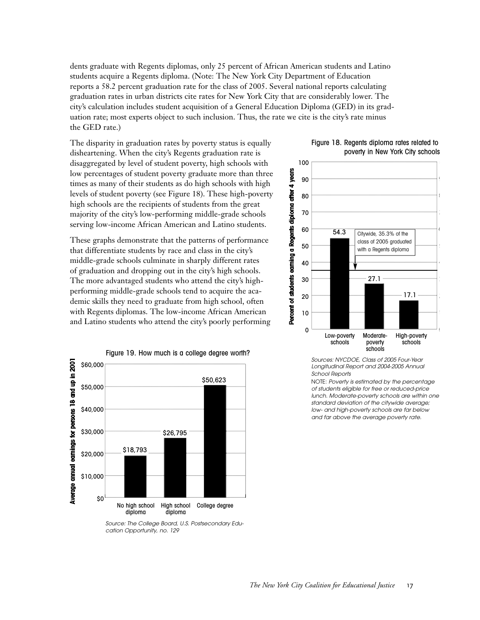dents graduate with Regents diplomas, only 25 percent of African American students and Latino students acquire a Regents diploma. (Note: The New York City Department of Education reports a 58.2 percent graduation rate for the class of 2005. Several national reports calculating graduation rates in urban districts cite rates for New York City that are considerably lower. The city's calculation includes student acquisition of a General Education Diploma (GED) in its graduation rate; most experts object to such inclusion. Thus, the rate we cite is the city's rate minus the GED rate.)

The disparity in graduation rates by poverty status is equally disheartening. When the city's Regents graduation rate is disaggregated by level of student poverty, high schools with low percentages of student poverty graduate more than three times as many of their students as do high schools with high levels of student poverty (see Figure 18). These high-poverty high schools are the recipients of students from the great majority of the city's low-performing middle-grade schools serving low-income African American and Latino students.

These graphs demonstrate that the patterns of performance that differentiate students by race and class in the city's middle-grade schools culminate in sharply different rates of graduation and dropping out in the city's high schools. The more advantaged students who attend the city's highperforming middle-grade schools tend to acquire the academic skills they need to graduate from high school, often with Regents diplomas. The low-income African American and Latino students who attend the city's poorly performing



*Source: The College Board, U.S. Postsecondary Education Opportunity, no. 129* 





*Sources: NYCDOE, Class of 2005 Four-Year Longitudinal Report and 2004-2005 Annual School Reports*

NOTE: *Poverty is estimated by the percentage of students eligible for free or reduced-price lunch. Moderate-poverty schools are within one standard deviation of the citywide average; low- and high-poverty schools are far below and far above the average poverty rate.*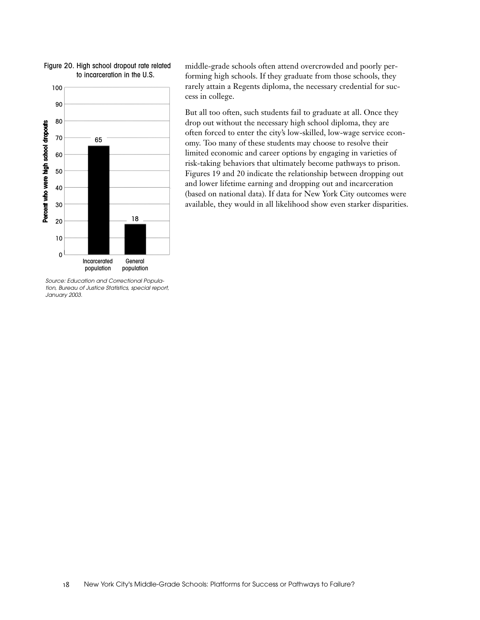

*Source: Education and Correctional Population, Bureau of Justice Statistics, special report, January 2003.* 

middle-grade schools often attend overcrowded and poorly performing high schools. If they graduate from those schools, they rarely attain a Regents diploma, the necessary credential for success in college.

But all too often, such students fail to graduate at all. Once they drop out without the necessary high school diploma, they are often forced to enter the city's low-skilled, low-wage service economy. Too many of these students may choose to resolve their limited economic and career options by engaging in varieties of risk-taking behaviors that ultimately become pathways to prison. Figures 19 and 20 indicate the relationship between dropping out and lower lifetime earning and dropping out and incarceration (based on national data). If data for New York City outcomes were available, they would in all likelihood show even starker disparities.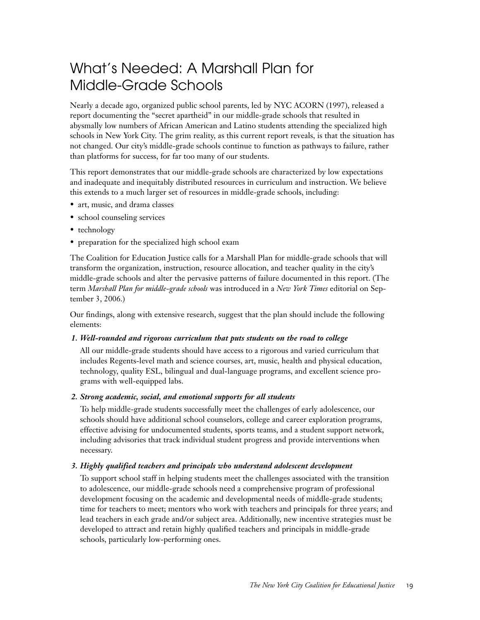# What's Needed: A Marshall Plan for Middle-Grade Schools

Nearly a decade ago, organized public school parents, led by NYC ACORN (1997), released a report documenting the "secret apartheid" in our middle-grade schools that resulted in abysmally low numbers of African American and Latino students attending the specialized high schools in New York City. The grim reality, as this current report reveals, is that the situation has not changed. Our city's middle-grade schools continue to function as pathways to failure, rather than platforms for success, for far too many of our students.

This report demonstrates that our middle-grade schools are characterized by low expectations and inadequate and inequitably distributed resources in curriculum and instruction. We believe this extends to a much larger set of resources in middle-grade schools, including:

- art, music, and drama classes
- school counseling services
- technology
- preparation for the specialized high school exam

The Coalition for Education Justice calls for a Marshall Plan for middle-grade schools that will transform the organization, instruction, resource allocation, and teacher quality in the city's middle-grade schools and alter the pervasive patterns of failure documented in this report. (The term *Marshall Plan for middle-grade schools* was introduced in a *New York Times* editorial on September 3, 2006.)

Our findings, along with extensive research, suggest that the plan should include the following elements:

#### *1. Well-rounded and rigorous curriculum that puts students on the road to college*

All our middle-grade students should have access to a rigorous and varied curriculum that includes Regents-level math and science courses, art, music, health and physical education, technology, quality ESL, bilingual and dual-language programs, and excellent science programs with well-equipped labs.

#### *2. Strong academic, social, and emotional supports for all students*

To help middle-grade students successfully meet the challenges of early adolescence, our schools should have additional school counselors, college and career exploration programs, effective advising for undocumented students, sports teams, and a student support network, including advisories that track individual student progress and provide interventions when necessary.

#### *3. Highly qualified teachers and principals who understand adolescent development*

To support school staff in helping students meet the challenges associated with the transition to adolescence, our middle-grade schools need a comprehensive program of professional development focusing on the academic and developmental needs of middle-grade students; time for teachers to meet; mentors who work with teachers and principals for three years; and lead teachers in each grade and/or subject area. Additionally, new incentive strategies must be developed to attract and retain highly qualified teachers and principals in middle-grade schools, particularly low-performing ones.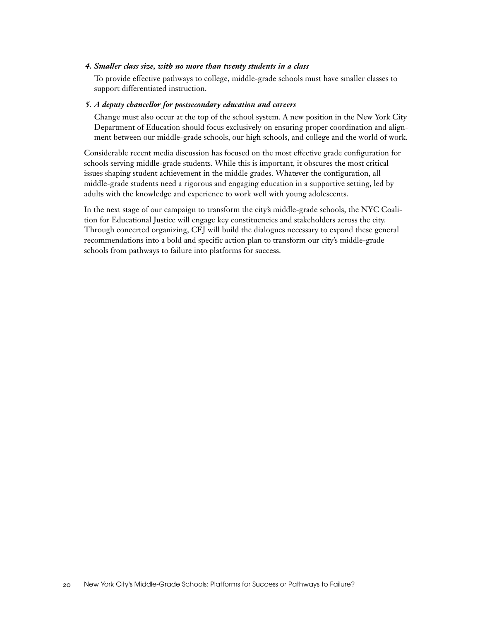#### *4. Smaller class size, with no more than twenty students in a class*

To provide effective pathways to college, middle-grade schools must have smaller classes to support differentiated instruction.

#### *5. A deputy chancellor for postsecondary education and careers*

Change must also occur at the top of the school system. A new position in the New York City Department of Education should focus exclusively on ensuring proper coordination and alignment between our middle-grade schools, our high schools, and college and the world of work.

Considerable recent media discussion has focused on the most effective grade configuration for schools serving middle-grade students. While this is important, it obscures the most critical issues shaping student achievement in the middle grades. Whatever the configuration, all middle-grade students need a rigorous and engaging education in a supportive setting, led by adults with the knowledge and experience to work well with young adolescents.

In the next stage of our campaign to transform the city's middle-grade schools, the NYC Coalition for Educational Justice will engage key constituencies and stakeholders across the city. Through concerted organizing, CEJ will build the dialogues necessary to expand these general recommendations into a bold and specific action plan to transform our city's middle-grade schools from pathways to failure into platforms for success.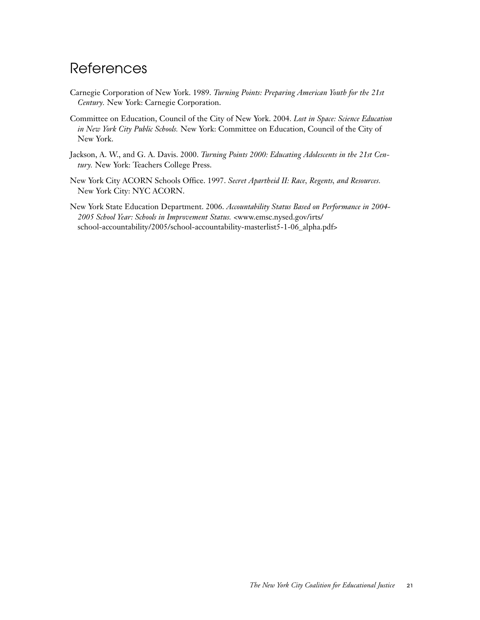## **References**

- Carnegie Corporation of New York. 1989. *Turning Points: Preparing American Youth for the 21st Century.* New York: Carnegie Corporation.
- Committee on Education, Council of the City of New York. 2004. *Lost in Space: Science Education in New York City Public Schools.* New York: Committee on Education, Council of the City of New York.
- Jackson, A. W., and G. A. Davis. 2000. *Turning Points 2000: Educating Adolescents in the 21st Century.* New York: Teachers College Press.
- New York City ACORN Schools Office. 1997. *Secret Apartheid II: Race, Regents, and Resources.* New York City: NYC ACORN.
- New York State Education Department. 2006. *Accountability Status Based on Performance in 2004- 2005 School Year: Schools in Improvement Status.* <www.emsc.nysed.gov/irts/ school-accountability/2005/school-accountability-masterlist5-1-06\_alpha.pdf>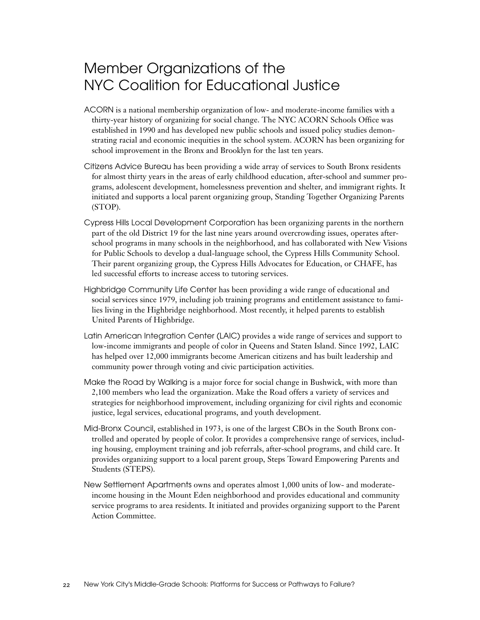## Member Organizations of the NYC Coalition for Educational Justice

- ACORN is a national membership organization of low- and moderate-income families with a thirty-year history of organizing for social change. The NYC ACORN Schools Office was established in 1990 and has developed new public schools and issued policy studies demonstrating racial and economic inequities in the school system. ACORN has been organizing for school improvement in the Bronx and Brooklyn for the last ten years.
- Citizens Advice Bureau has been providing a wide array of services to South Bronx residents for almost thirty years in the areas of early childhood education, after-school and summer programs, adolescent development, homelessness prevention and shelter, and immigrant rights. It initiated and supports a local parent organizing group, Standing Together Organizing Parents (STOP).
- Cypress Hills Local Development Corporation has been organizing parents in the northern part of the old District 19 for the last nine years around overcrowding issues, operates afterschool programs in many schools in the neighborhood, and has collaborated with New Visions for Public Schools to develop a dual-language school, the Cypress Hills Community School. Their parent organizing group, the Cypress Hills Advocates for Education, or CHAFE, has led successful efforts to increase access to tutoring services.
- Highbridge Community Life Center has been providing a wide range of educational and social services since 1979, including job training programs and entitlement assistance to families living in the Highbridge neighborhood. Most recently, it helped parents to establish United Parents of Highbridge.
- Latin American Integration Center (LAIC) provides a wide range of services and support to low-income immigrants and people of color in Queens and Staten Island. Since 1992, LAIC has helped over 12,000 immigrants become American citizens and has built leadership and community power through voting and civic participation activities.
- Make the Road by Walking is a major force for social change in Bushwick, with more than 2,100 members who lead the organization. Make the Road offers a variety of services and strategies for neighborhood improvement, including organizing for civil rights and economic justice, legal services, educational programs, and youth development.
- Mid-Bronx Council, established in 1973, is one of the largest CBOs in the South Bronx controlled and operated by people of color. It provides a comprehensive range of services, including housing, employment training and job referrals, after-school programs, and child care. It provides organizing support to a local parent group, Steps Toward Empowering Parents and Students (STEPS).
- New Settlement Apartments owns and operates almost 1,000 units of low- and moderateincome housing in the Mount Eden neighborhood and provides educational and community service programs to area residents. It initiated and provides organizing support to the Parent Action Committee.